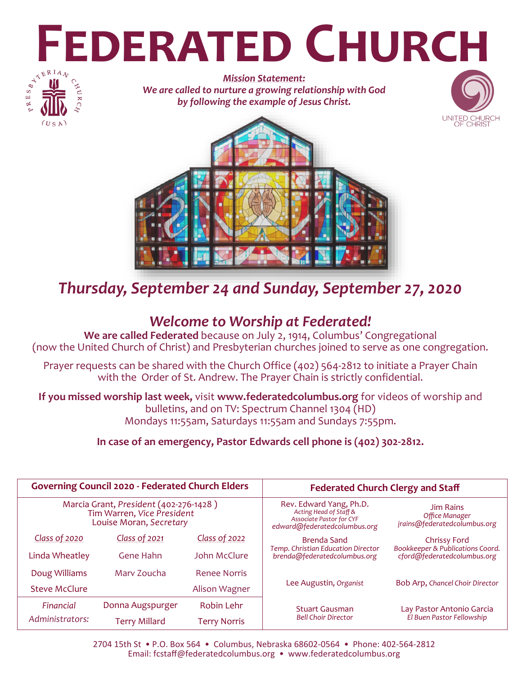# **FEDERATED CHURCH**



*Mission Statement: We are called to nurture a growing relationship with God by following the example of Jesus Christ.*





# *Thursday, September 24 and Sunday, September 27, 2020*

# *Welcome to Worship at Federated!*

**We are called Federated** because on July 2, 1914, Columbus' Congregational (now the United Church of Christ) and Presbyterian churches joined to serve as one congregation.

Prayer requests can be shared with the Church Office (402) 564-2812 to initiate a Prayer Chain with the Order of St. Andrew. The Prayer Chain is strictly confidential.

**If you missed worship last week,** visit **www.federatedcolumbus.org** for videos of worship and bulletins, and on TV: Spectrum Channel 1304 (HD) Mondays 11:55am, Saturdays 11:55am and Sundays 7:55pm.

**In case of an emergency, Pastor Edwards cell phone is (402) 302-2812.** 

| <b>Governing Council 2020 - Federated Church Elders</b>                                         |                      |                     | <b>Federated Church Clergy and Staff</b>                                                                             |                                                                    |
|-------------------------------------------------------------------------------------------------|----------------------|---------------------|----------------------------------------------------------------------------------------------------------------------|--------------------------------------------------------------------|
| Marcia Grant, President (402-276-1428)<br>Tim Warren, Vice President<br>Louise Moran, Secretary |                      |                     | Rev. Edward Yang, Ph.D.<br>Acting Head of Staff &<br><b>Associate Pastor for CYF</b><br>edward@federatedcolumbus.org | <b>Jim Rains</b><br>Office Manager<br>jrains@federatedcolumbus.org |
| Class of 2020                                                                                   | Class of 2021        | Class of 2022       | Brenda Sand                                                                                                          | Chrissy Ford                                                       |
| Linda Wheatley                                                                                  | Gene Hahn            | John McClure        | <b>Temp. Christian Education Director</b><br>brenda@federatedcolumbus.org                                            | Bookkeeper & Publications Coord.<br>cford@federatedcolumbus.org    |
| Doug Williams                                                                                   | Mary Zoucha          | <b>Renee Norris</b> |                                                                                                                      |                                                                    |
| <b>Steve McClure</b>                                                                            |                      | Alison Wagner       | Lee Augustin, Organist                                                                                               | Bob Arp, Chancel Choir Director                                    |
| Financial                                                                                       | Donna Augspurger     | <b>Robin Lehr</b>   | <b>Stuart Gausman</b>                                                                                                | Lay Pastor Antonio Garcia<br>El Buen Pastor Fellowship             |
| Administrators:                                                                                 | <b>Terry Millard</b> | <b>Terry Norris</b> | <b>Bell Choir Director</b>                                                                                           |                                                                    |

2704 15th St • P.O. Box 564 • Columbus, Nebraska 68602-0564 • Phone: 402-564-2812 Email: fcstaff@federatedcolumbus.org • www.federatedcolumbus.org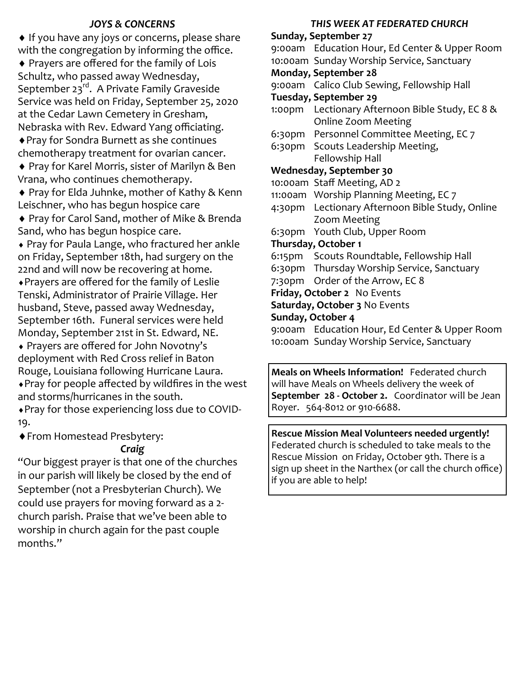#### *JOYS & CONCERNS*

♦ If you have any joys or concerns, please share with the congregation by informing the office.

 Prayers are offered for the family of Lois Schultz, who passed away Wednesday, September 23rd. A Private Family Graveside Service was held on Friday, September 25, 2020 at the Cedar Lawn Cemetery in Gresham, Nebraska with Rev. Edward Yang officiating. Pray for Sondra Burnett as she continues chemotherapy treatment for ovarian cancer.

◆ Pray for Karel Morris, sister of Marilyn & Ben Vrana, who continues chemotherapy.

◆ Pray for Elda Juhnke, mother of Kathy & Kenn Leischner, who has begun hospice care

◆ Pray for Carol Sand, mother of Mike & Brenda Sand, who has begun hospice care.

 Pray for Paula Lange, who fractured her ankle on Friday, September 18th, had surgery on the 22nd and will now be recovering at home. Prayers are offered for the family of Leslie Tenski, Administrator of Prairie Village. Her husband, Steve, passed away Wednesday, September 16th. Funeral services were held Monday, September 21st in St. Edward, NE.

 Prayers are offered for John Novotny's deployment with Red Cross relief in Baton Rouge, Louisiana following Hurricane Laura. Pray for people affected by wildfires in the west

and storms/hurricanes in the south. Pray for those experiencing loss due to COVID-

19.

From Homestead Presbytery:

#### *Craig*

"Our biggest prayer is that one of the churches in our parish will likely be closed by the end of September (not a Presbyterian Church). We could use prayers for moving forward as a 2 church parish. Praise that we've been able to worship in church again for the past couple months."

#### *THIS WEEK AT FEDERATED CHURCH*

**Sunday, September 27** 9:00am Education Hour, Ed Center & Upper Room 10:00am Sunday Worship Service, Sanctuary **Monday, September 28** 9:00am Calico Club Sewing, Fellowship Hall **Tuesday, September 29** 1:00pm Lectionary Afternoon Bible Study, EC 8 & Online Zoom Meeting 6:30pm Personnel Committee Meeting, EC 7 6:30pm Scouts Leadership Meeting, Fellowship Hall **Wednesday, September 30** 10:00am Staff Meeting, AD 2 11:00am Worship Planning Meeting, EC 7 4:30pm Lectionary Afternoon Bible Study, Online Zoom Meeting 6:30pm Youth Club, Upper Room **Thursday, October 1** 6:15pm Scouts Roundtable, Fellowship Hall 6:30pm Thursday Worship Service, Sanctuary 7:30pm Order of the Arrow, EC 8 **Friday, October 2** No Events **Saturday, October 3** No Events **Sunday, October 4** 9:00am Education Hour, Ed Center & Upper Room 10:00am Sunday Worship Service, Sanctuary

**Meals on Wheels Information!** Federated church will have Meals on Wheels delivery the week of **September 28 - October 2.** Coordinator will be Jean Royer. 564-8012 or 910-6688.

**Rescue Mission Meal Volunteers needed urgently!** Federated church is scheduled to take meals to the Rescue Mission on Friday, October 9th. There is a sign up sheet in the Narthex (or call the church office) if you are able to help!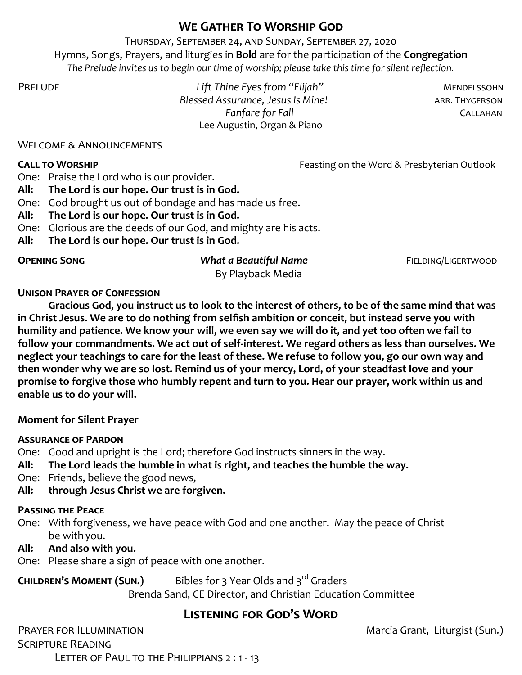## **We Gather To Worship God**

Thursday, September 24, and Sunday, September 27, 2020 Hymns, Songs, Prayers, and liturgies in **Bold** are for the participation of the **Congregation** *The Prelude invites us to begin our time of worship; please take this time for silent reflection.*

Prelude *Lift Thine Eyes from "Elijah"* Mendelssohn **Blessed Assurance, Jesus Is Mine! ARR. THYGERSON** *Fanfare for Fall* **CALLAHAN** Lee Augustin, Organ & Piano

#### Welcome & Announcements

**CALL TO WORSHIP CALL TO WORSHIP CALL TO WORSHIP** *Feasting on the Word & Presbyterian Outlook* 

One: Praise the Lord who is our provider.

- **All: The Lord is our hope. Our trust is in God.**
- One: God brought us out of bondage and has made us free.
- **All: The Lord is our hope. Our trust is in God.**
- One: Glorious are the deeds of our God, and mighty are his acts.
- **All: The Lord is our hope. Our trust is in God.**

#### **Opening Song** *What a Beautiful Name* Fielding/Ligertwood

By Playback Media

#### **Unison Prayer of Confession**

**Gracious God, you instruct us to look to the interest of others, to be of the same mind that was in Christ Jesus. We are to do nothing from selfish ambition or conceit, but instead serve you with humility and patience. We know your will, we even say we will do it, and yet too often we fail to follow your commandments. We act out of self-interest. We regard others as less than ourselves. We neglect your teachings to care for the least of these. We refuse to follow you, go our own way and then wonder why we are so lost. Remind us of your mercy, Lord, of your steadfast love and your promise to forgive those who humbly repent and turn to you. Hear our prayer, work within us and enable us to do your will.** 

#### **Moment for Silent Prayer**

#### **Assurance of Pardon**

One: Good and upright is the Lord; therefore God instructs sinners in the way.

- **All: The Lord leads the humble in what is right, and teaches the humble the way.**
- One: Friends, believe the good news,
- **All: through Jesus Christ we are forgiven.**

#### **Passing the Peace**

One: With forgiveness, we have peace with God and one another. May the peace of Christ be with you.

#### **All: And also with you.**

One: Please share a sign of peace with one another.

# **CHILDREN'S MOMENT (SUN.)** Bibles for 3 Year Olds and 3<sup>rd</sup> Graders

Brenda Sand, CE Director, and Christian Education Committee

# **Listening for God's Word**

PRAYER FOR ILLUMINATION **PRAYER FOR ILLUMINATION** Scripture Reading LETTER OF PAUL TO THE PHILIPPIANS 2:1-13